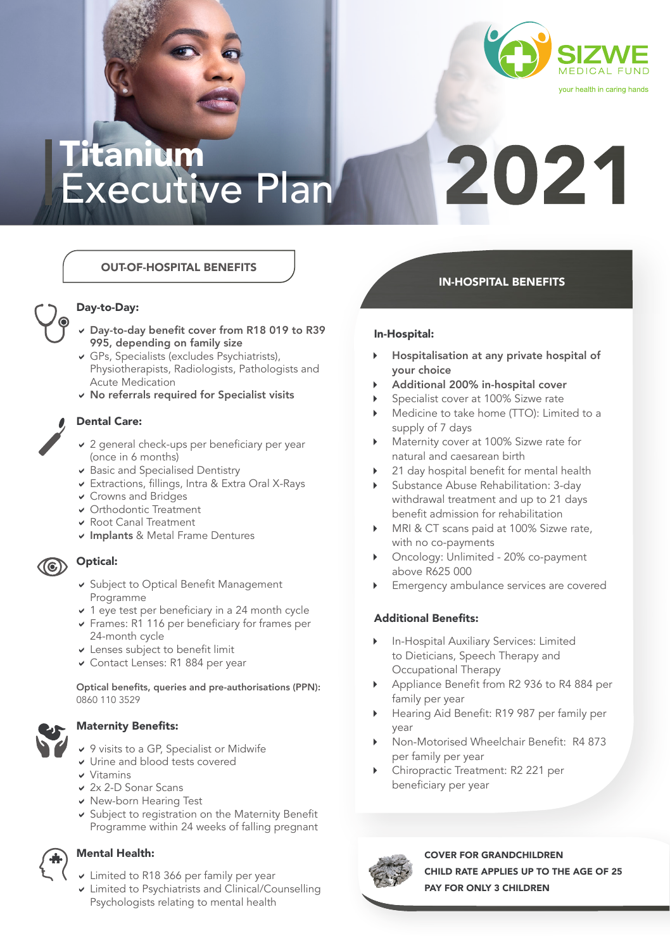

# Titanium Executive Plan

# IN-HOSPITAL BENEFITS

2021

### In-Hospital:

- Hospitalisation at any private hospital of your choice
- Additional 200% in-hospital cover
- Specialist cover at 100% Sizwe rate
- Medicine to take home (TTO): Limited to a supply of 7 days
- Maternity cover at 100% Sizwe rate for natural and caesarean birth
- 21 day hospital benefit for mental health
- Substance Abuse Rehabilitation: 3-day withdrawal treatment and up to 21 days benefit admission for rehabilitation
- MRI & CT scans paid at 100% Sizwe rate, with no co-payments
- Oncology: Unlimited 20% co-payment above R625 000
- Emergency ambulance services are covered

# Additional Benefits:

- In-Hospital Auxiliary Services: Limited to Dieticians, Speech Therapy and Occupational Therapy
- Appliance Benefit from R2 936 to R4 884 per family per year
- Hearing Aid Benefit: R19 987 per family per year
- Non-Motorised Wheelchair Benefit: R4 873 per family per year
- Chiropractic Treatment: R2 221 per beneficiary per year



COVER FOR GRANDCHILDREN CHILD RATE APPLIES UP TO THE AGE OF 25 PAY FOR ONLY 3 CHILDREN

# OUT-OF-HOSPITAL BENEFITS

# Day-to-Day:

- D Day-to-day benefit cover from R18 019 to R39 995, depending on family size
- $\vee$  GPs, Specialists (excludes Psychiatrists), Physiotherapists, Radiologists, Pathologists and Acute Medication
- $\vee$  No referrals required for Specialist visits

# Dental Care:

- $\vee$  2 general check-ups per beneficiary per year (once in 6 months)
- $\triangleright$  Basic and Specialised Dentistry
- $\vee$  Extractions, fillings, Intra & Extra Oral X-Rays
- $\vee$  Crowns and Bridges
- ↓ Orthodontic Treatment
- ▼ Root Canal Treatment
- **v** Implants & Metal Frame Dentures

# **Optical:**

- v Subject to Optical Benefit Management Programme
- $\vee$  1 eye test per beneficiary in a 24 month cycle
- $\vee$  Frames: R1 116 per beneficiary for frames per
- 24-month cycle  $\triangleright$  Lenses subject to benefit limit
- $\vee$  Contact Lenses: R1 884 per year

### Optical benefits, queries and pre-authorisations (PPN): 0860 110 3529

- Maternity Benefits:
- v 9 visits to a GP, Specialist or Midwife
- v Urine and blood tests covered
- $\vee$  Vitamins

Mental Health:

- $\times$  2x 2-D Sonar Scans
- ▼ New-born Hearing Test
- $\vee$  Subject to registration on the Maternity Benefit Programme within 24 weeks of falling pregnant

- $\triangleright$  Limited to R18 366 per family per year
- $\vee$  Limited to Psychiatrists and Clinical/Counselling Psychologists relating to mental health